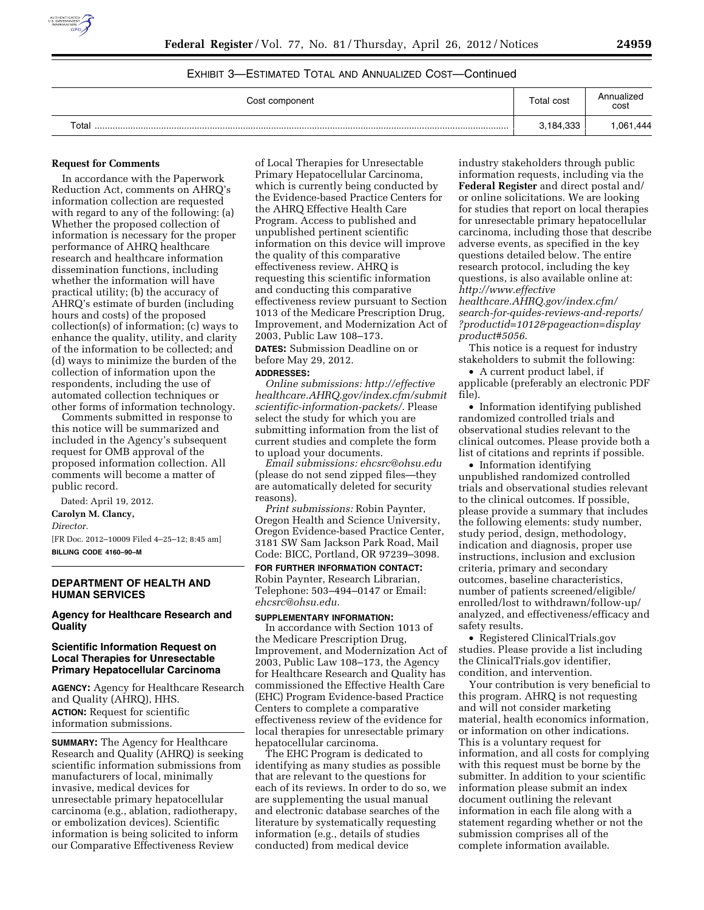

# EXHIBIT 3—ESTIMATED TOTAL AND ANNUALIZED COST—Continued

| Cost component | Total cost | Annualized<br>cost |
|----------------|------------|--------------------|
| Total          | 3,184,333  | ,061,444           |

#### **Request for Comments**

In accordance with the Paperwork Reduction Act, comments on AHRQ's information collection are requested with regard to any of the following: (a) Whether the proposed collection of information is necessary for the proper performance of AHRQ healthcare research and healthcare information dissemination functions, including whether the information will have practical utility; (b) the accuracy of AHRQ's estimate of burden (including hours and costs) of the proposed collection(s) of information; (c) ways to enhance the quality, utility, and clarity of the information to be collected; and (d) ways to minimize the burden of the collection of information upon the respondents, including the use of automated collection techniques or other forms of information technology.

Comments submitted in response to this notice will be summarized and included in the Agency's subsequent request for OMB approval of the proposed information collection. All comments will become a matter of public record.

Dated: April 19, 2012.

# **Carolyn M. Clancy,**

*Director.* 

[FR Doc. 2012–10009 Filed 4–25–12; 8:45 am] **BILLING CODE 4160–90–M** 

# **DEPARTMENT OF HEALTH AND HUMAN SERVICES**

# **Agency for Healthcare Research and Quality**

### **Scientific Information Request on Local Therapies for Unresectable Primary Hepatocellular Carcinoma**

**AGENCY:** Agency for Healthcare Research and Quality (AHRQ), HHS. **ACTION:** Request for scientific information submissions.

**SUMMARY:** The Agency for Healthcare Research and Quality (AHRQ) is seeking scientific information submissions from manufacturers of local, minimally invasive, medical devices for unresectable primary hepatocellular carcinoma (e.g., ablation, radiotherapy, or embolization devices). Scientific information is being solicited to inform our Comparative Effectiveness Review

of Local Therapies for Unresectable Primary Hepatocellular Carcinoma, which is currently being conducted by the Evidence-based Practice Centers for the AHRQ Effective Health Care Program. Access to published and unpublished pertinent scientific information on this device will improve the quality of this comparative effectiveness review. AHRQ is requesting this scientific information and conducting this comparative effectiveness review pursuant to Section 1013 of the Medicare Prescription Drug, Improvement, and Modernization Act of 2003, Public Law 108–173.

**DATES:** Submission Deadline on or before May 29, 2012.

# **ADDRESSES:**

*Online submissions: [http://effective](http://effectivehealthcare.AHRQ.gov/index.cfm/submitscientific-information-packets/) [healthcare.AHRQ.gov/index.cfm/submit](http://effectivehealthcare.AHRQ.gov/index.cfm/submitscientific-information-packets/) [scientific-information-packets/](http://effectivehealthcare.AHRQ.gov/index.cfm/submitscientific-information-packets/)*. Please select the study for which you are submitting information from the list of current studies and complete the form to upload your documents.

*Email submissions: [ehcsrc@ohsu.edu](mailto:ehcsrc@ohsu.edu)*  (please do not send zipped files—they are automatically deleted for security reasons).

*Print submissions:* Robin Paynter, Oregon Health and Science University, Oregon Evidence-based Practice Center, 3181 SW Sam Jackson Park Road, Mail Code: BICC, Portland, OR 97239–3098.

**FOR FURTHER INFORMATION CONTACT:**  Robin Paynter, Research Librarian, Telephone: 503–494–0147 or Email: *[ehcsrc@ohsu.edu](mailto:ehcsrc@ohsu.edu)*.

# **SUPPLEMENTARY INFORMATION:**

In accordance with Section 1013 of the Medicare Prescription Drug, Improvement, and Modernization Act of 2003, Public Law 108–173, the Agency for Healthcare Research and Quality has commissioned the Effective Health Care (EHC) Program Evidence-based Practice Centers to complete a comparative effectiveness review of the evidence for local therapies for unresectable primary hepatocellular carcinoma.

The EHC Program is dedicated to identifying as many studies as possible that are relevant to the questions for each of its reviews. In order to do so, we are supplementing the usual manual and electronic database searches of the literature by systematically requesting information (e.g., details of studies conducted) from medical device

industry stakeholders through public information requests, including via the **Federal Register** and direct postal and/ or online solicitations. We are looking for studies that report on local therapies for unresectable primary hepatocellular carcinoma, including those that describe adverse events, as specified in the key questions detailed below. The entire research protocol, including the key questions, is also available online at: *[http://www.effective](http://www.effectivehealthcare.AHRQ.gov/index.cfm/search-for-quides-reviews-and-reports/?productid=1012&pageaction=displayproduct#5056)*

*[healthcare.AHRQ.gov/index.cfm/](http://www.effectivehealthcare.AHRQ.gov/index.cfm/search-for-quides-reviews-and-reports/?productid=1012&pageaction=displayproduct#5056) [search-for-quides-reviews-and-reports/](http://www.effectivehealthcare.AHRQ.gov/index.cfm/search-for-quides-reviews-and-reports/?productid=1012&pageaction=displayproduct#5056) [?productid=1012&pageaction=display](http://www.effectivehealthcare.AHRQ.gov/index.cfm/search-for-quides-reviews-and-reports/?productid=1012&pageaction=displayproduct#5056) [product#5056](http://www.effectivehealthcare.AHRQ.gov/index.cfm/search-for-quides-reviews-and-reports/?productid=1012&pageaction=displayproduct#5056)*.

This notice is a request for industry stakeholders to submit the following:

• A current product label, if applicable (preferably an electronic PDF file).

• Information identifying published randomized controlled trials and observational studies relevant to the clinical outcomes. Please provide both a list of citations and reprints if possible.

• Information identifying unpublished randomized controlled trials and observational studies relevant to the clinical outcomes. If possible, please provide a summary that includes the following elements: study number, study period, design, methodology, indication and diagnosis, proper use instructions, inclusion and exclusion criteria, primary and secondary outcomes, baseline characteristics, number of patients screened/eligible/ enrolled/lost to withdrawn/follow-up/ analyzed, and effectiveness/efficacy and safety results.

• Registered ClinicalTrials.gov studies. Please provide a list including the ClinicalTrials.gov identifier, condition, and intervention.

Your contribution is very beneficial to this program. AHRQ is not requesting and will not consider marketing material, health economics information, or information on other indications. This is a voluntary request for information, and all costs for complying with this request must be borne by the submitter. In addition to your scientific information please submit an index document outlining the relevant information in each file along with a statement regarding whether or not the submission comprises all of the complete information available.